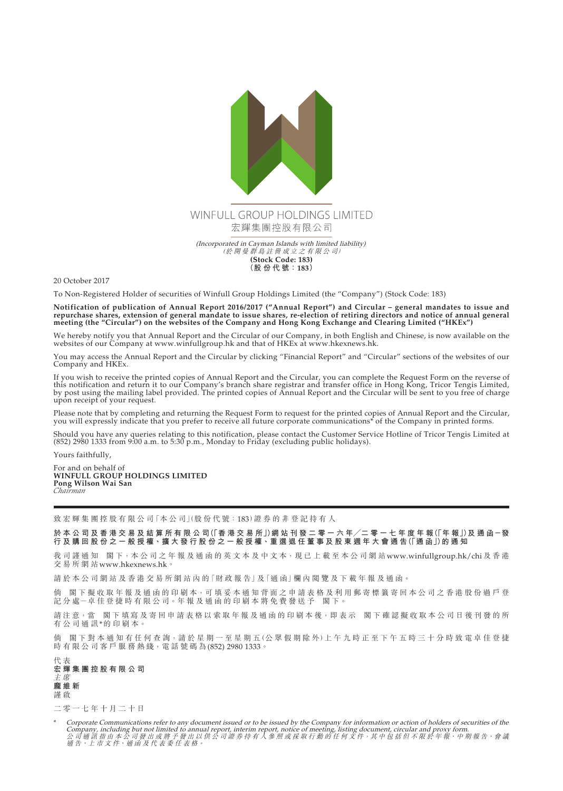

20 October 2017

To Non-Registered Holder of securities of Winfull Group Holdings Limited (the "Company") (Stock Code: 183)

**Notification of publication of Annual Report 2016/2017 ("Annual Report") and Circular – general mandates to issue and repurchase shares, extension of general mandate to issue shares, re-election of retiring directors and notice of annual general meeting (the "Circular") on the websites of the Company and Hong Kong Exchange and Clearing Limited ("HKEx")**

We hereby notify you that Annual Report and the Circular of our Company, in both English and Chinese, is now available on the websites of our Company at www.winfullgroup.hk and that of HKEx at www.hkexnews.hk.

You may access the Annual Report and the Circular by clicking "Financial Report" and "Circular" sections of the websites of our Company and HKEx.

If you wish to receive the printed copies of Annual Report and the Circular, you can complete the Request Form on the reverse of this notification and return it to our Company's branch share registrar and transfer office in Hong Kong, Tricor Tengis Limited, by post using the mailing label provided. The printed copies of Annual Report and the Circular will be sent to you free of charge upon receipt of your request.

Please note that by completing and returning the Request Form to request for the printed copies of Annual Report and the Circular, you will expressly indicate that you prefer to receive all future corporate communications\* of the Company in printed forms.

Should you have any queries relating to this notification, please contact the Customer Service Hotline of Tricor Tengis Limited at (852) 2980 1333 from 9:00 a.m. to 5:30 p.m., Monday to Friday (excluding public holidays).

Yours faithfully,

For and on behalf of **WINFULL GROUP HOLDINGS LIMITED Pong Wilson Wai San** *Chairman*

致 宏 輝 集 團 控 股 有 限 公 司 「本 公 司 」(股 份 代 號 : 183) 證 券 的 非 登 記 持 有 人

於 本 公 司 及 香 港 交 易 及 結 算 所 有 限 公 司 (「香 港 交 易 所」) 網 站 刊 發 二 零 一 六 年/二 零 一 七 年 度 年 報 (「年 報」)及 通 函 一 發 **行 及 購 回 股 份 之 一 般 授 權、擴 大 發 行 股 份 之 一 般 授 權、重 選 退 任 董 事 及 股 東 週 年 大 會 通 告(「通 函」)的 通 知**

我司謹通知 閣下,本公司之年報及通函的英文本及中文本,現已上載至本公司網站www.winfullgroup.hk/chi及香港 交易所網站<www.hkexnews.hk>。

請於本公司網站及香港交易所網站內的「財政報告」及「通函」欄內閲覽及下載年報及通函。

倘 閣下擬收取年報及通函的印刷本,可填妥本通知背面之申請表格及利用郵寄標籤寄回本公司之香港股份過戶登 記分處-卓佳登捷時有限公司。年報及通函的印刷本將免費發送予 閣下。

請注意,當 閣下填寫及寄回申請表格以索取年報及通函的印刷本後,即表示 閣下確認擬收取本公司日後刊發的所 有公司通訊\*的印刷本。

倘 閣下對本通知有任何查詢,請於星期一至星期五(公眾假期除外)上午九時正至下午五時三十分時致電卓佳登捷 時有限公司客戶服務熱綫,電話號碼為(852) 2980 1333。

代 表 **宏輝集團控股有限公司** 主 席 **龐維新** 謹 啟

二零一七年十月二十日

Corporate Communications refer to any document issued or to be issued by the Company for information or action of holders of securities of the Company, including but not limited to annual report, interim report, notice of meeting, listing document, circular and proxy form.<br>公司通訊指由本公司發出或將予發出以供公司證券持有人參照或採取行動的任何文件,其中包括但不限於年報、中期報告、會議<br>通告、上市文件、通函及代表委任表格。